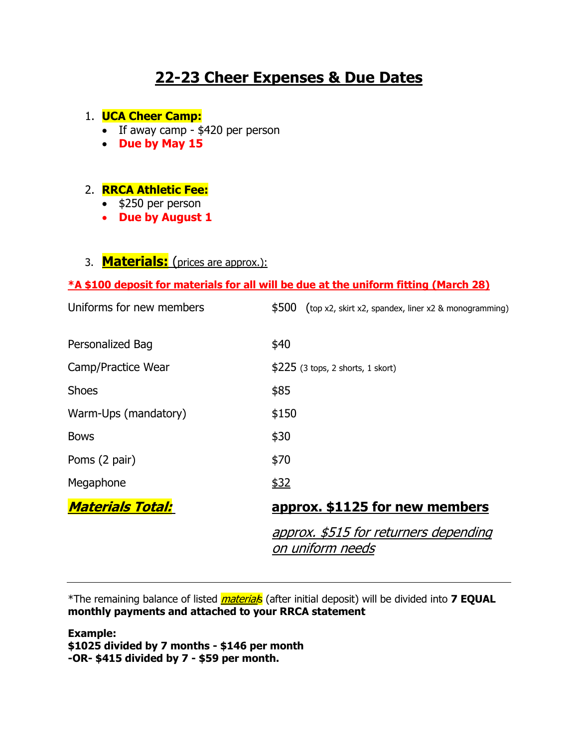# **22-23 Cheer Expenses & Due Dates**

### 1. **UCA Cheer Camp:**

- If away camp \$420 per person
- **Due by May 15**

### 2. **RRCA Athletic Fee:**

- \$250 per person
- **Due by August 1**

## 3. **Materials:** (prices are approx.):

### **\*A \$100 deposit for materials for all will be due at the uniform fitting (March 28)**

| Uniforms for new members | \$500<br>(top x2, skirt x2, spandex, liner x2 & monogramming) |
|--------------------------|---------------------------------------------------------------|
| Personalized Bag         | \$40                                                          |
| Camp/Practice Wear       | $$225$ (3 tops, 2 shorts, 1 skort)                            |
| <b>Shoes</b>             | \$85                                                          |
| Warm-Ups (mandatory)     | \$150                                                         |
| <b>Bows</b>              | \$30                                                          |
| Poms (2 pair)            | \$70                                                          |
| Megaphone                | \$32                                                          |
| <b>Materials Total:</b>  | approx. \$1125 for new members                                |
|                          | approx. \$515 for returners depending<br>on uniform needs     |

\*The remaining balance of listed *material*s (after initial deposit) will be divided into **7 EQUAL monthly payments and attached to your RRCA statement**

**Example: \$1025 divided by 7 months - \$146 per month -OR- \$415 divided by 7 - \$59 per month.**